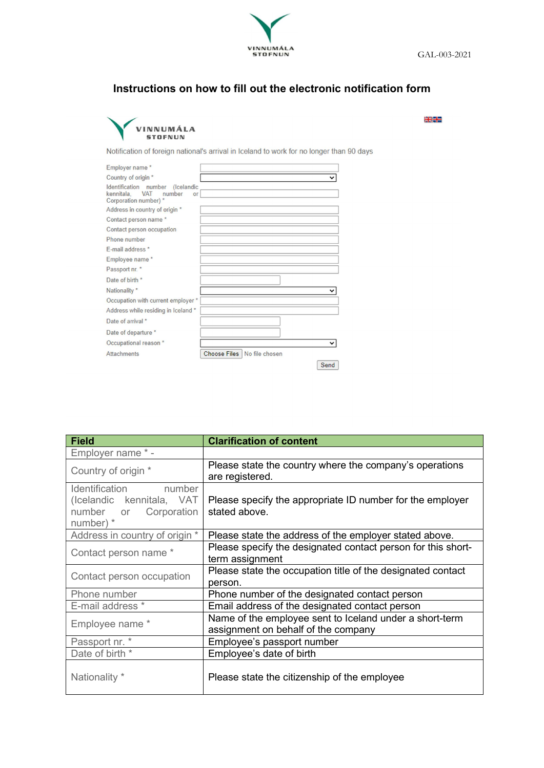

## Instructions on how to fill out the electronic notification form



<u>skill</u>

Notification of foreign national's arrival in Iceland to work for no longer than 90 days

| Employer name*                                                                                           |                               |
|----------------------------------------------------------------------------------------------------------|-------------------------------|
| Country of origin *                                                                                      | $\check{ }$                   |
| Identification number<br>(Icelandic<br><b>VAT</b><br>kennitala.<br>number<br>or<br>Corporation number) * |                               |
| Address in country of origin *                                                                           |                               |
| Contact person name *                                                                                    |                               |
| Contact person occupation                                                                                |                               |
| Phone number                                                                                             |                               |
| F-mail address *                                                                                         |                               |
| Employee name*                                                                                           |                               |
| Passport nr. *                                                                                           |                               |
| Date of birth *                                                                                          |                               |
| Nationality *                                                                                            | v                             |
| Occupation with current employer *                                                                       |                               |
| Address while residing in Iceland *                                                                      |                               |
| Date of arrival *                                                                                        |                               |
| Date of departure *                                                                                      |                               |
| Occupational reason *                                                                                    |                               |
| <b>Attachments</b>                                                                                       | Choose Files   No file chosen |
|                                                                                                          | Send                          |

| <b>Field</b>                                                                               | <b>Clarification of content</b>                                                                |
|--------------------------------------------------------------------------------------------|------------------------------------------------------------------------------------------------|
| Employer name *-                                                                           |                                                                                                |
| Country of origin *                                                                        | Please state the country where the company's operations<br>are registered.                     |
| Identification number<br>(Icelandic kennitala, VAT<br>number or Corporation<br>number) $*$ | Please specify the appropriate ID number for the employer<br>stated above.                     |
| Address in country of origin *                                                             | Please state the address of the employer stated above.                                         |
| Contact person name *                                                                      | Please specify the designated contact person for this short-<br>term assignment                |
| Contact person occupation                                                                  | Please state the occupation title of the designated contact<br>person.                         |
| Phone number                                                                               | Phone number of the designated contact person                                                  |
| E-mail address *                                                                           | Email address of the designated contact person                                                 |
| Employee name *                                                                            | Name of the employee sent to Iceland under a short-term<br>assignment on behalf of the company |
| Passport nr. *                                                                             | Employee's passport number                                                                     |
| Date of birth *                                                                            | Employee's date of birth                                                                       |
| Nationality *                                                                              | Please state the citizenship of the employee                                                   |